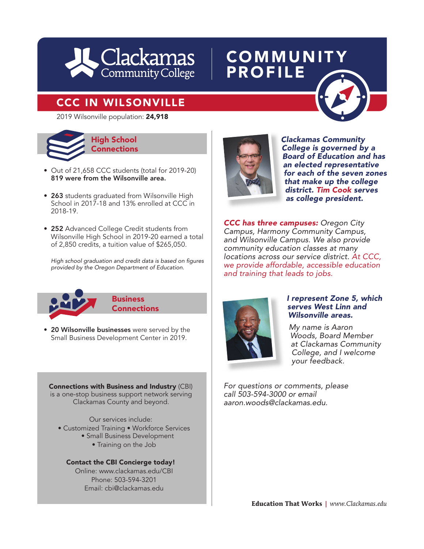

## **COMMUNITY** PROFILE

## CCC IN WILSONVILLE



- Out of 21,658 CCC students (total for 2019-20) 819 were from the Wilsonville area.
- 263 students graduated from Wilsonville High School in 2017-18 and 13% enrolled at CCC in 2018-19.
- 252 Advanced College Credit students from Wilsonville High School in 2019-20 earned a total of 2,850 credits, a tuition value of \$265,050.

High school graduation and credit data is based on figures *provided by the Oregon Department of Education.*



- **Business Connections**
- 20 Wilsonville businesses were served by the Small Business Development Center in 2019.

Connections with Business and Industry (CBI) is a one-stop business support network serving Clackamas County and beyond.

Our services include:

- Customized Training Workforce Services
	- Small Business Development
		- Training on the Job

Contact the CBI Concierge today! Online: www.clackamas.edu/CBI Phone: 503-594-3201 Email: cbi@clackamas.edu



*Clackamas Community College is governed by a Board of Education and has an elected representative for each of the seven zones that make up the college district. Tim Cook serves as college president.*  **has a community**<br> **has School**<br> **has Connections**<br> **has Connections**<br> **has College is governed by a Board of Education and has** 

> *CCC has three campuses: Oregon City Campus, Harmony Community Campus, and Wilsonville Campus. We also provide community education classes at many locations across our service district. At CCC, we provide affordable, accessible education and training that leads to jobs.*



#### *I represent Zone 5, which serves West Linn and Wilsonville areas.*

*My name is Aaron Woods, Board Member at Clackamas Community College, and I welcome your feedback.*

*For questions or comments, please call 503-594-3000 or email aaron.woods@clackamas.edu.*

**Education That Works** *| www.Clackamas.edu*